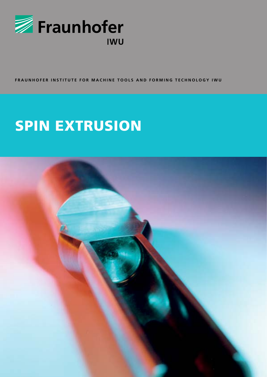

FRAUNHOFER INSTITUTE FOR MACHINE TOOLS AND FORMING TECHNOLOGY IWU

# **SPIN EXTRUSION**

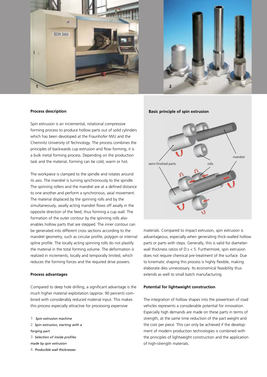



#### **Process description**

Spin extrusion is an incremental, rotational compressive forming process to produce hollow parts out of solid cylinders which has been devoloped at the Fraunhofer IWU and the Chemnitz University of Technology. The process combines the principles of backwards cup extrusion and flow forming; it is a bulk metal forming process. Depending on the production task and the material, forming can be cold, warm or hot.

The workpiece is clamped to the spindle and rotates around its axis. The mandrel is turning synchronously to the spindle. The spinning rollers and the mandrel are at a defined distance to one another and perform a synchronous, axial movement. The material displaced by the spinning rolls and by the simultaneously, axially acting mandrel flows off axially in the opposite direction of the feed, thus forming a cup wall. The formation of the outer contour by the spinning rolls also enables hollow parts that are stepped. The inner contour can be generated into different cross sections according to the mandrel geometry, such as circular profile, polygon or internal spline profile. The locally acting spinning rolls do not plastify the material in the total forming volume. The deformation is realized in increments, locally and temporally limited, which reduces the forming forces and the required drive powers.

#### **Process advantages**

Compared to deep hole drilling, a significant advantage is the much higher material exploitation (approx. 90 percent) combined with considerably reduced material input. This makes this process especially attractive for processing expensive

- **1** *Spin extrusion machine*
- **2** *Spin extrusion, starting with a*
- *forging part*
- **3** *Selection of inside profiles*
- *made by spin extrusion*
- **4** *Producible wall thicknesses*

**Basic principle of spin extrusion**



materials. Compared to impact extrusion, spin extrusion is advantageous, especially when generating thick-walled hollow parts or parts with steps. Generally, this is valid for diameterwall thickness ratios of D:s < 5. Furthermore, spin extrusion does not require chemical pre-treatment of the surface. Due to kinematic shaping this process is highly flexible, making elaborate dies unnecessary. Its economical feasibility thus extends as well to small batch manufacturing.

### **Potential for lightweight construction**

The integration of hollow shapes into the powertrain of road vehicles represents a considerable potential for innovation. Especially high demands are made on these parts in terms of strength, at the same time reduction of the part weight and the cost per piece. This can only be achieved if the development of modern production technologies is combined with the principles of lightweight construction and the application of high-strength materials.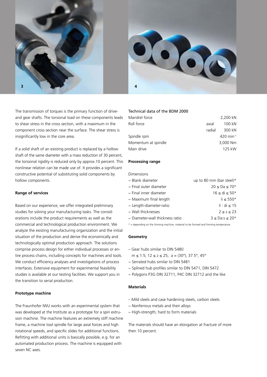



The transmission of torques is the primary function of driveand gear shafts. The torsional load on these components leads to shear stress in the cross section, with a maximum in the component cross section near the surface. The shear stress is insignificantly low in the core area.

If a solid shaft of an existing product is replaced by a hollow shaft of the same diameter with a mass reduction of 30 percent, the torsional rigidity is reduced only by approx.10 percent. This nonlinear relation can be made use of. It provides a significant constructive potential of substituting solid components by hollow components.

## **Range of services**

Based on our experience, we offer integrated preliminary studies for solving your manufacturing tasks. The considerations include the product requirements as well as the commercial and technological production environment. We analyze the existing manufacturing organization and the initial situation of the production and derive the economically and technologically optimal production approach. The solutions comprise process design for either individual processes or entire process chains, including concepts for machines and tools. We conduct efficiency analyses and investigations of process interfaces. Extensive equipment for experimental feasibility studies is available at our testing facilities. We support you in the transition to serial production.

#### **Prototype machine**

The Fraunhofer IWU works with an experimental system that was developed at the Institute as a prototype for a spin extrusion machine. The machine features an extremely stiff machine frame, a machine tool spindle for large axial forces and high rotational speeds, and specific slides for additional functions. Refitting with additional units is basically possible, e.g. for an automated production process. The machine is equipped with seven NC axes.

## Technical data of the BDM 2000

| Mandrel force       |        | 2,200 kN              |
|---------------------|--------|-----------------------|
| Roll force          | axial  | 100 kN                |
|                     | radial | 300 kN                |
| Spindle rpm         |        | 420 min <sup>-1</sup> |
| Momentum at spindle |        | 3,000 Nm              |
| Main drive          |        | 125 kW                |
|                     |        |                       |

#### **Processing range**

Dimensions

| - Blank diameter                | up to 80 mm (bar steel) $*$          |
|---------------------------------|--------------------------------------|
| – Final outer diameter          | $20 \leq Da \leq 70*$                |
| – Final inner diameter          | $16 \le di \le 50*$                  |
| – Maximum final length          | $\mathsf{I}$ i $\leq 550$ *          |
| – Length-diameter-ratio         | $\mathsf{li}: \mathsf{di} \leq 15$   |
| - Wall thicknesses              | $2 \leq s \leq 23$                   |
| - Diameter-wall thickness ratio | $3 \leq$ Da:s $\leq$ 20 <sup>*</sup> |
|                                 |                                      |

 $*$  = depending on the forming machine, material to be formed and forming temperature

## **Geometry**

- Gear hubs similar to DIN 5480
- m ≤ 1.5; 12 ≤ z ≤ 25; a = (30°), 37.5°, 45°
- − Serrated hubs similar to DIN 5481
- − Splined hub profiles similar to DIN 5471, DIN 5472
- − Polygons P3G DIN 32711, P4C DIN 32712 and the like

### **Materials**

- Mild steels and case hardening steels, carbon steels
- − Nonferrous metals and their alloys
- − High-strength, hard to form materials

The materials should have an elongation at fracture of more then 10 percent.